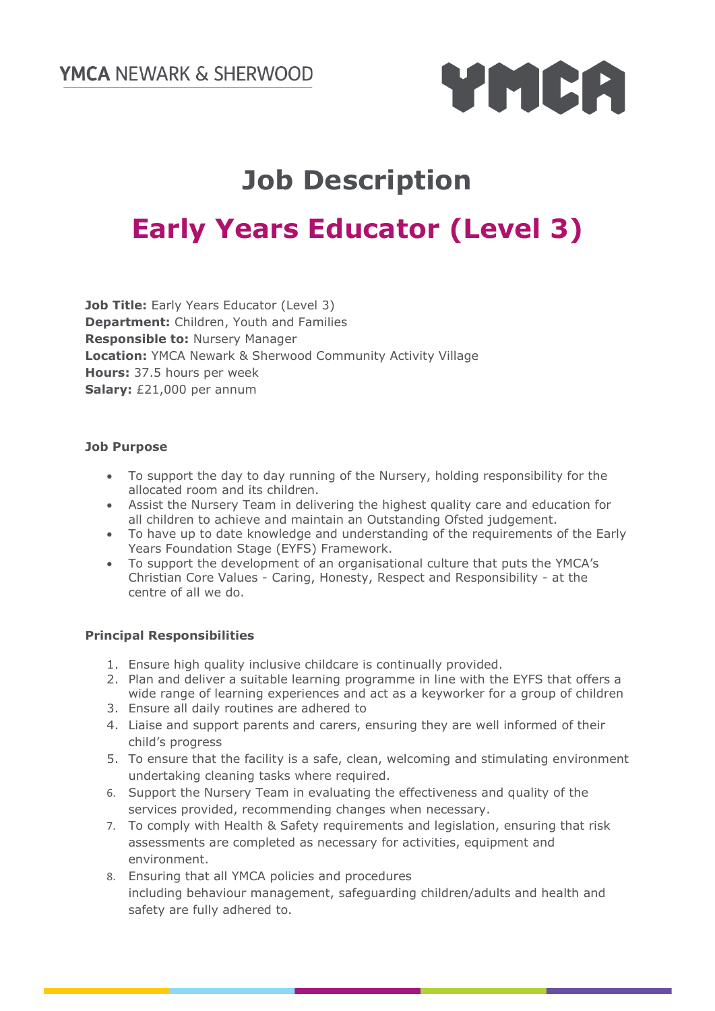

# **Job Description**

## **Early Years Educator (Level 3)**

**Job Title:** Early Years Educator (Level 3) **Department:** Children, Youth and Families **Responsible to:** Nursery Manager **Location:** YMCA Newark & Sherwood Community Activity Village **Hours:** 37.5 hours per week **Salary:** £21,000 per annum

#### **Job Purpose**

- To support the day to day running of the Nursery, holding responsibility for the allocated room and its children.
- Assist the Nursery Team in delivering the highest quality care and education for all children to achieve and maintain an Outstanding Ofsted judgement.
- To have up to date knowledge and understanding of the requirements of the Early Years Foundation Stage (EYFS) Framework.
- To support the development of an organisational culture that puts the YMCA's Christian Core Values - Caring, Honesty, Respect and Responsibility - at the centre of all we do.

#### **Principal Responsibilities**

- 1. Ensure high quality inclusive childcare is continually provided.
- 2. Plan and deliver a suitable learning programme in line with the EYFS that offers a wide range of learning experiences and act as a keyworker for a group of children
- 3. Ensure all daily routines are adhered to
- 4. Liaise and support parents and carers, ensuring they are well informed of their child's progress
- 5. To ensure that the facility is a safe, clean, welcoming and stimulating environment undertaking cleaning tasks where required.
- 6. Support the Nursery Team in evaluating the effectiveness and quality of the services provided, recommending changes when necessary.
- 7. To comply with Health & Safety requirements and legislation, ensuring that risk assessments are completed as necessary for activities, equipment and environment.
- 8. Ensuring that all YMCA policies and procedures including behaviour management, safeguarding children/adults and health and safety are fully adhered to.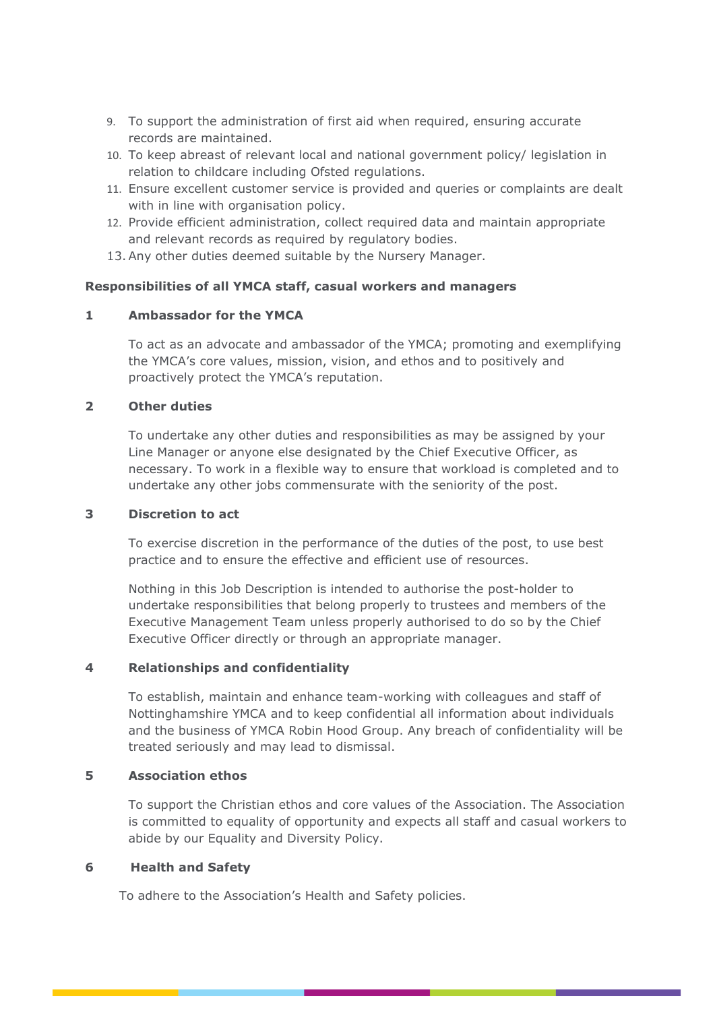- 9. To support the administration of first aid when required, ensuring accurate records are maintained.
- 10. To keep abreast of relevant local and national government policy/ legislation in relation to childcare including Ofsted regulations.
- 11. Ensure excellent customer service is provided and queries or complaints are dealt with in line with organisation policy.
- 12. Provide efficient administration, collect required data and maintain appropriate and relevant records as required by regulatory bodies.
- 13.Any other duties deemed suitable by the Nursery Manager.

#### **Responsibilities of all YMCA staff, casual workers and managers**

#### **1 Ambassador for the YMCA**

To act as an advocate and ambassador of the YMCA; promoting and exemplifying the YMCA's core values, mission, vision, and ethos and to positively and proactively protect the YMCA's reputation.

#### **2 Other duties**

To undertake any other duties and responsibilities as may be assigned by your Line Manager or anyone else designated by the Chief Executive Officer, as necessary. To work in a flexible way to ensure that workload is completed and to undertake any other jobs commensurate with the seniority of the post.

#### **3 Discretion to act**

To exercise discretion in the performance of the duties of the post, to use best practice and to ensure the effective and efficient use of resources.

Nothing in this Job Description is intended to authorise the post-holder to undertake responsibilities that belong properly to trustees and members of the Executive Management Team unless properly authorised to do so by the Chief Executive Officer directly or through an appropriate manager.

#### **4 Relationships and confidentiality**

To establish, maintain and enhance team-working with colleagues and staff of Nottinghamshire YMCA and to keep confidential all information about individuals and the business of YMCA Robin Hood Group. Any breach of confidentiality will be treated seriously and may lead to dismissal.

#### **5 Association ethos**

To support the Christian ethos and core values of the Association. The Association is committed to equality of opportunity and expects all staff and casual workers to abide by our Equality and Diversity Policy.

#### **6 Health and Safety**

To adhere to the Association's Health and Safety policies.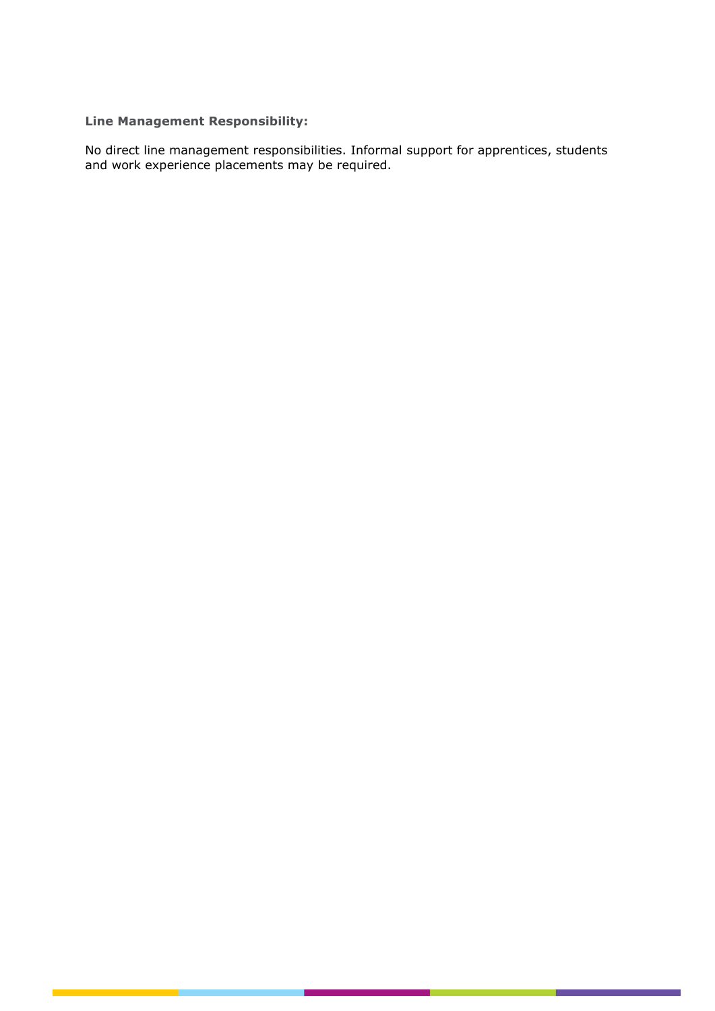### **Line Management Responsibility:**

No direct line management responsibilities. Informal support for apprentices, students and work experience placements may be required.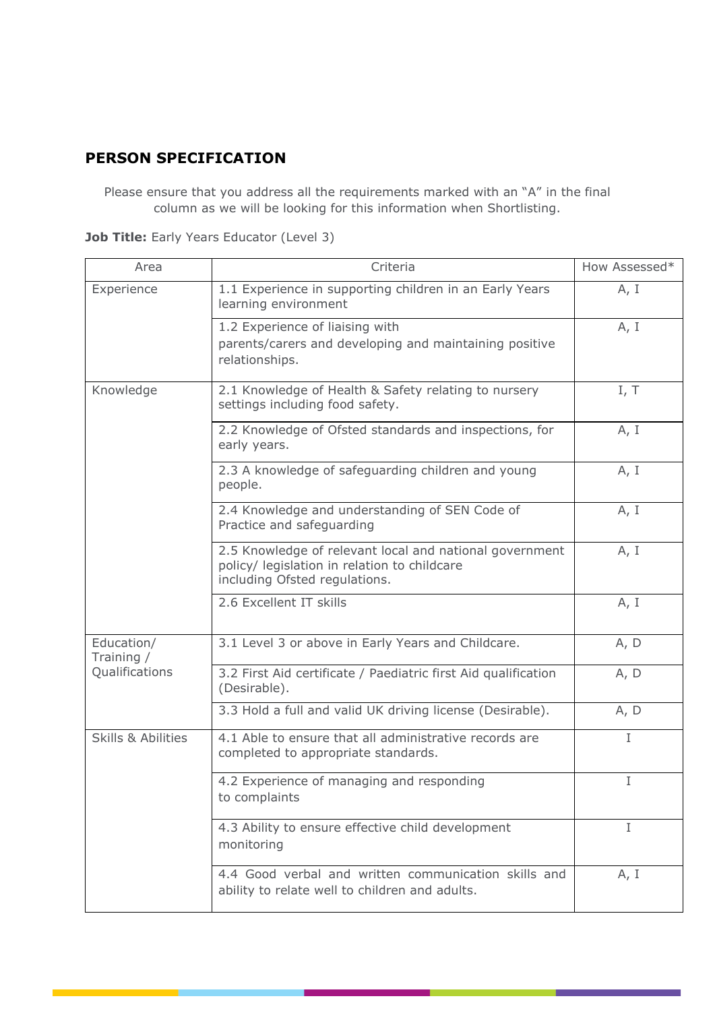### **PERSON SPECIFICATION**

Please ensure that you address all the requirements marked with an "A" in the final column as we will be looking for this information when Shortlisting.

| Area                                       | Criteria                                                                                                                                 | How Assessed* |
|--------------------------------------------|------------------------------------------------------------------------------------------------------------------------------------------|---------------|
| Experience                                 | 1.1 Experience in supporting children in an Early Years<br>learning environment                                                          | A, I          |
|                                            | 1.2 Experience of liaising with<br>parents/carers and developing and maintaining positive<br>relationships.                              | A, I          |
| Knowledge                                  | 2.1 Knowledge of Health & Safety relating to nursery<br>settings including food safety.                                                  | I, T          |
|                                            | 2.2 Knowledge of Ofsted standards and inspections, for<br>early years.                                                                   | A, I          |
|                                            | 2.3 A knowledge of safeguarding children and young<br>people.                                                                            | A, I          |
|                                            | 2.4 Knowledge and understanding of SEN Code of<br>Practice and safeguarding                                                              | A, I          |
|                                            | 2.5 Knowledge of relevant local and national government<br>policy/ legislation in relation to childcare<br>including Ofsted regulations. | A, I          |
|                                            | 2.6 Excellent IT skills                                                                                                                  | A, I          |
| Education/<br>Training /<br>Qualifications | 3.1 Level 3 or above in Early Years and Childcare.                                                                                       | A, D          |
|                                            | 3.2 First Aid certificate / Paediatric first Aid qualification<br>(Desirable).                                                           | A, D          |
|                                            | 3.3 Hold a full and valid UK driving license (Desirable).                                                                                | A, D          |
| <b>Skills &amp; Abilities</b>              | 4.1 Able to ensure that all administrative records are<br>completed to appropriate standards.                                            | I             |
|                                            | 4.2 Experience of managing and responding<br>to complaints                                                                               | I             |
|                                            | 4.3 Ability to ensure effective child development<br>monitoring                                                                          | I             |
|                                            | 4.4 Good verbal and written communication skills and<br>ability to relate well to children and adults.                                   | A, I          |

**Job Title:** Early Years Educator (Level 3)